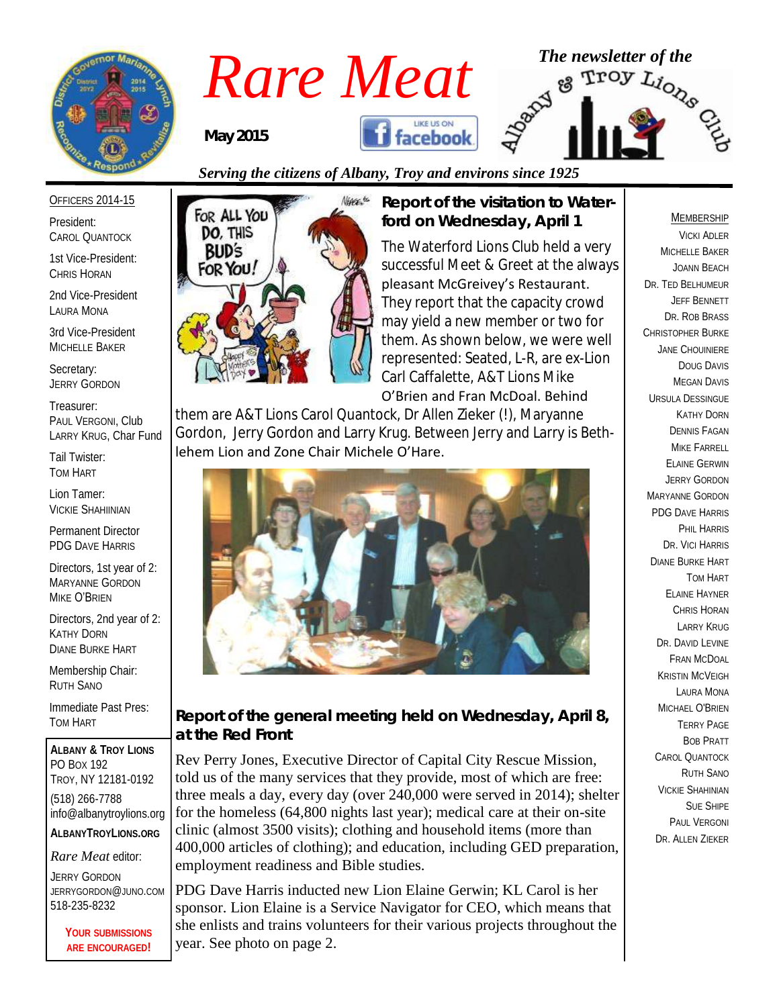

# *Rare Meat* <sup>The newsletter of the<br>May 2015 **The Research Assembly Assumed Property**</sup>

*May 2015*





#### OFFICERS 2014-15

President: CAROL QUANTOCK

1st Vice-President: CHRIS HORAN

2nd Vice-President LAURA MONA

3rd Vice-President MICHELLE BAKER

Secretary: JERRY GORDON

Treasurer: PAUL VERGONI, Club LARRY KRUG, Char Fund

Tail Twister: TOM HART

Lion Tamer: VICKIE SHAHIINIAN

Permanent Director PDG DAVE HARRIS

Directors, 1st year of 2: MARYANNE GORDON MIKE O'BRIEN

Directors, 2nd year of 2: KATHY DORN DIANE BURKE HART

Membership Chair: RUTH SANO

Immediate Past Pres: TOM HART

**ALBANY & TROY LIONS** PO BOX 192 TROY, NY 12181-0192 (518) 266-7788 info@albanytroylions.org **ALBANYTROYLIONS.ORG**

*Rare Meat* editor:

JERRY GORDON JERRYGORDON@JUNO.COM 518-235-8232

> **YOUR SUBMISSIONS ARE ENCOURAGED!**



*Report of the visitation to Waterford on Wednesday, April 1*

The Waterford Lions Club held a very successful Meet & Greet at the always pleasant McGreivey's Restaurant. They report that the capacity crowd may yield a new member or two for them. As shown below, we were well represented: Seated, L-R, are ex-Lion Carl Caffalette, A&T Lions Mike O'Brien and Fran McDoal. Behind

them are A&T Lions Carol Quantock, Dr Allen Zieker (!), Maryanne

Gordon, Jerry Gordon and Larry Krug. Between Jerry and Larry is Bethlehem Lion and Zone Chair Michele O'Hare.



#### *Report of the general meeting held on Wednesday, April 8, at the Red Front*

Rev Perry Jones, Executive Director of Capital City Rescue Mission, told us of the many services that they provide, most of which are free: three meals a day, every day (over 240,000 were served in 2014); shelter for the homeless (64,800 nights last year); medical care at their on-site clinic (almost 3500 visits); clothing and household items (more than 400,000 articles of clothing); and education, including GED preparation, employment readiness and Bible studies.

PDG Dave Harris inducted new Lion Elaine Gerwin; KL Carol is her sponsor. Lion Elaine is a Service Navigator for CEO, which means that she enlists and trains volunteers for their various projects throughout the year. See photo on page 2.

#### MEMBERSHIP

VICKI ADLER MICHELLE BAKER JOANN BEACH DR. TED BELHUMEUR JEFF BENNETT DR. ROB BRASS CHRISTOPHER BURKE JANE CHOUINIERE DOUG DAVIS MEGAN DAVIS URSULA DESSINGUE KATHY DORN DENNIS FAGAN MIKE FARRELL ELAINE GERWIN JERRY GORDON MARYANNE GORDON PDG DAVE HARRIS PHIL HARRIS DR. VICI HARRIS DIANE BURKE HART TOM HART ELAINE HAYNER CHRIS HORAN LARRY KRUG DR. DAVID EVINE FRAN MCDOAL KRISTIN MCVEIGH LAURA MONA MICHAEL O'BRIEN TERRY PAGE BOB PRATT CAROL QUANTOCK RUTH SANO VICKIE SHAHINIAN SUE SHIPE PAUL VERGONI DR. ALLEN ZIEKER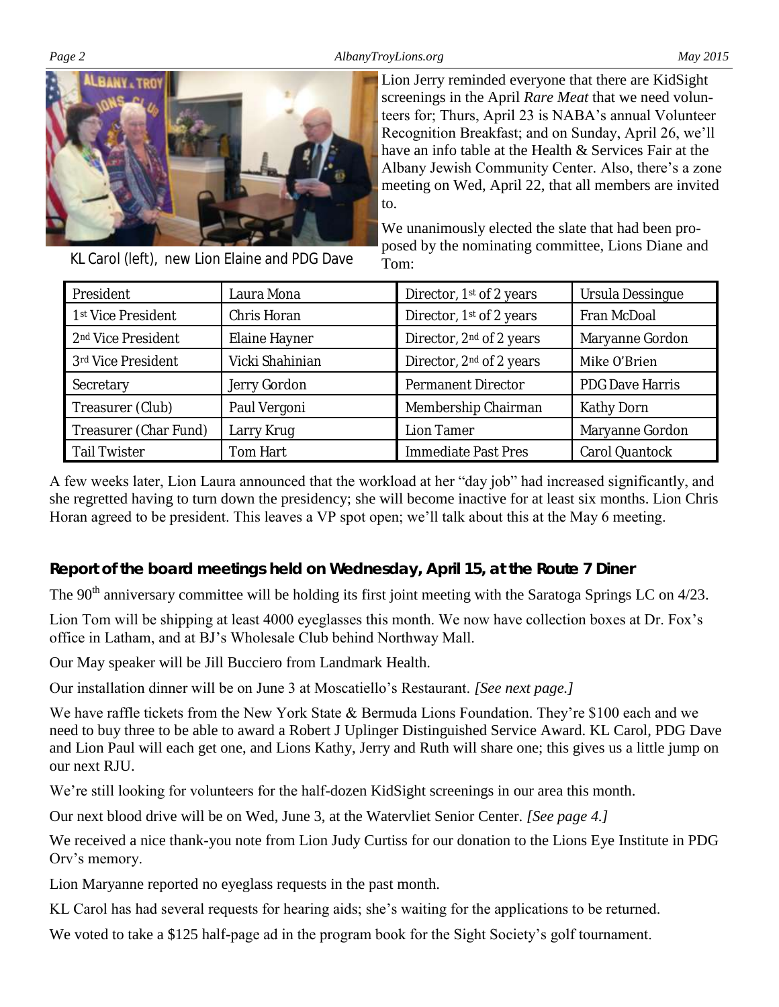*Page 2 AlbanyTroyLions.org May 2015*



KL Carol (left), new Lion Elaine and PDG Dave

screenings in the April *Rare Meat* that we need volunteers for; Thurs, April 23 is NABA's annual Volunteer Recognition Breakfast; and on Sunday, April 26, we'll have an info table at the Health & Services Fair at the Albany Jewish Community Center. Also, there's a zone meeting on Wed, April 22, that all members are invited to.

Lion Jerry reminded everyone that there are KidSight

We unanimously elected the slate that had been proposed by the nominating committee, Lions Diane and Tom:

| President                      | Laura Mona      | Director, 1 <sup>st</sup> of 2 years | Ursula Dessingue       |  |
|--------------------------------|-----------------|--------------------------------------|------------------------|--|
| 1 <sup>st</sup> Vice President | Chris Horan     | Director, 1st of 2 years             | Fran McDoal            |  |
| 2 <sup>nd</sup> Vice President | Elaine Hayner   | Director, 2 <sup>nd</sup> of 2 years | Maryanne Gordon        |  |
| 3rd Vice President             | Vicki Shahinian | Director, 2 <sup>nd</sup> of 2 years | Mike O'Brien           |  |
| Secretary                      | Jerry Gordon    | Permanent Director                   | <b>PDG Dave Harris</b> |  |
| Treasurer (Club)               | Paul Vergoni    | Membership Chairman                  | Kathy Dorn             |  |
| Treasurer (Char Fund)          | Larry Krug      | Lion Tamer                           | Maryanne Gordon        |  |
| Tail Twister                   | Tom Hart        | Immediate Past Pres                  | Carol Quantock         |  |

A few weeks later, Lion Laura announced that the workload at her "day job" had increased significantly, and she regretted having to turn down the presidency; she will become inactive for at least six months. Lion Chris Horan agreed to be president. This leaves a VP spot open; we'll talk about this at the May 6 meeting.

*Report of the board meetings held on Wednesday, April 15, at the Route 7 Diner* 

The 90<sup>th</sup> anniversary committee will be holding its first joint meeting with the Saratoga Springs LC on 4/23.

Lion Tom will be shipping at least 4000 eyeglasses this month. We now have collection boxes at Dr. Fox's office in Latham, and at BJ's Wholesale Club behind Northway Mall.

Our May speaker will be Jill Bucciero from Landmark Health.

Our installation dinner will be on June 3 at Moscatiello's Restaurant. *[See next page.]*

We have raffle tickets from the New York State & Bermuda Lions Foundation. They're \$100 each and we need to buy three to be able to award a Robert J Uplinger Distinguished Service Award. KL Carol, PDG Dave and Lion Paul will each get one, and Lions Kathy, Jerry and Ruth will share one; this gives us a little jump on our next RJU.

We're still looking for volunteers for the half-dozen KidSight screenings in our area this month.

Our next blood drive will be on Wed, June 3, at the Watervliet Senior Center. *[See page 4.]*

We received a nice thank-you note from Lion Judy Curtiss for our donation to the Lions Eye Institute in PDG Orv's memory.

Lion Maryanne reported no eyeglass requests in the past month.

KL Carol has had several requests for hearing aids; she's waiting for the applications to be returned.

We voted to take a \$125 half-page ad in the program book for the Sight Society's golf tournament.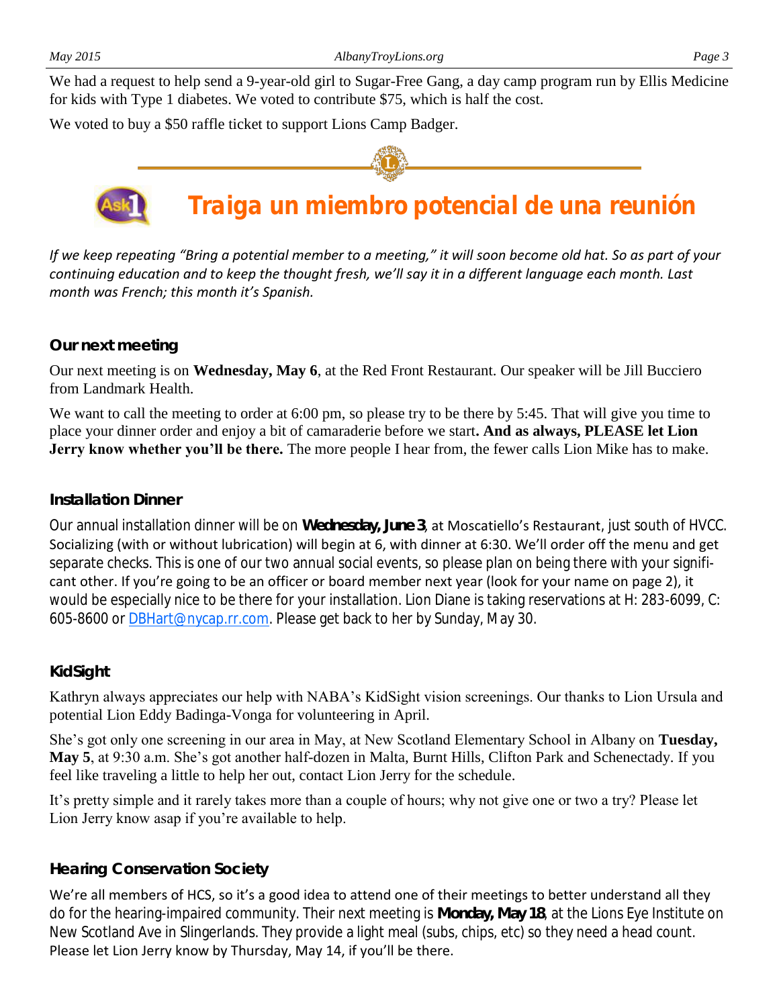We had a request to help send a 9-year-old girl to Sugar-Free Gang, a day camp program run by Ellis Medicine for kids with Type 1 diabetes. We voted to contribute \$75, which is half the cost.

We voted to buy a \$50 raffle ticket to support Lions Camp Badger.



### **Traiga un miembro potencial de una reunión**

*If we keep repeating "Bring a potential member to a meeting," it will soon become old hat. So as part of your continuing education and to keep the thought fresh, we'll say it in a different language each month. Last month was French; this month it's Spanish.*

#### *Our next meeting*

Our next meeting is on **Wednesday, May 6**, at the Red Front Restaurant. Our speaker will be Jill Bucciero from Landmark Health.

We want to call the meeting to order at 6:00 pm, so please try to be there by 5:45. That will give you time to place your dinner order and enjoy a bit of camaraderie before we start**. And as always, PLEASE let Lion Jerry know whether you'll be there.** The more people I hear from, the fewer calls Lion Mike has to make.

#### *Installation Dinner*

Our annual installation dinner will be on **Wednesday, June 3**, at Moscatiello's Restaurant, just south of HVCC. Socializing (with or without lubrication) will begin at 6, with dinner at 6:30. We'll order off the menu and get separate checks. This is one of our two annual social events, so please plan on being there with your significant other. If you're going to be an officer or board member next year (look for your name on page 2), it would be especially nice to be there for your installation. Lion Diane is taking reservations at H: 283-6099, C: 605-8600 or **DBHart@nycap.rr.com.** Please get back to her by Sunday, May 30.

#### *KidSight*

Kathryn always appreciates our help with NABA's KidSight vision screenings. Our thanks to Lion Ursula and potential Lion Eddy Badinga-Vonga for volunteering in April.

She's got only one screening in our area in May, at New Scotland Elementary School in Albany on **Tuesday, May 5**, at 9:30 a.m. She's got another half-dozen in Malta, Burnt Hills, Clifton Park and Schenectady. If you feel like traveling a little to help her out, contact Lion Jerry for the schedule.

It's pretty simple and it rarely takes more than a couple of hours; why not give one or two a try? Please let Lion Jerry know asap if you're available to help.

#### *Hearing Conservation Society*

We're all members of HCS, so it's a good idea to attend one of their meetings to better understand all they do for the hearing-impaired community. Their next meeting is **Monday, May 18**, at the Lions Eye Institute on New Scotland Ave in Slingerlands. They provide a light meal (subs, chips, etc) so they need a head count. Please let Lion Jerry know by Thursday, May 14, if you'll be there.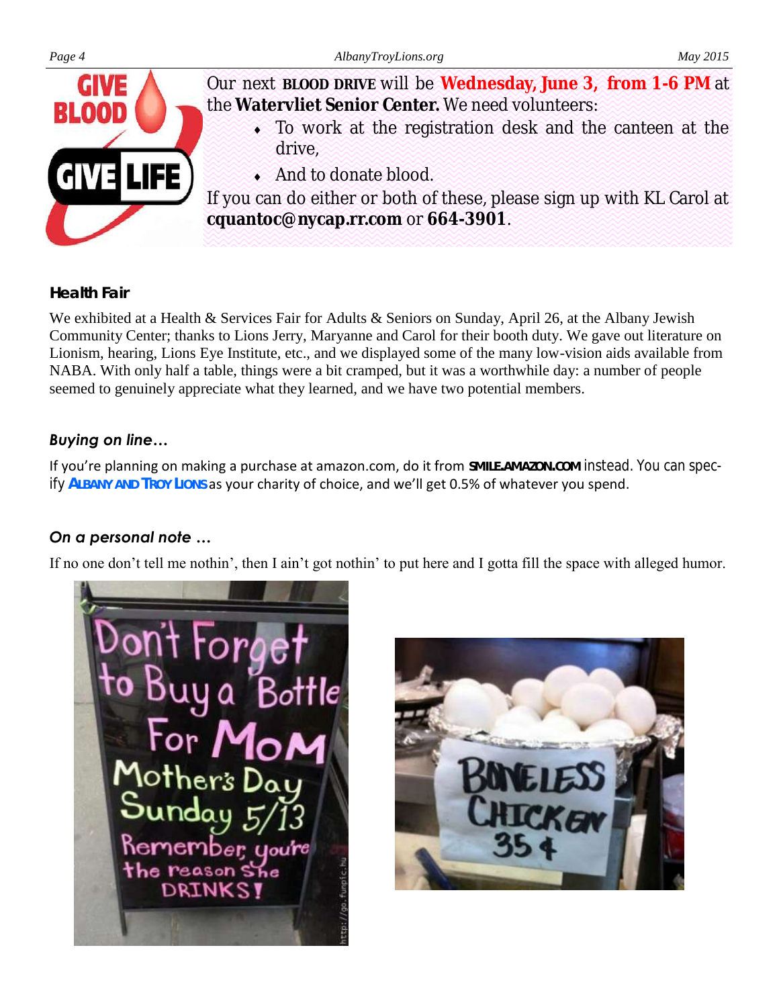



Our next **BLOOD DRIVE** will be **Wednesday, June 3, from 1-6 PM** at the **Watervliet Senior Center.** We need volunteers:

- To work at the registration desk and the canteen at the drive,
- And to donate blood.

If you can do either or both of these, please sign up with KL Carol at **cquantoc@nycap.rr.com** or **664-3901**.

#### *Health Fair*

We exhibited at a Health & Services Fair for Adults & Seniors on Sunday, April 26, at the Albany Jewish Community Center; thanks to Lions Jerry, Maryanne and Carol for their booth duty. We gave out literature on Lionism, hearing, Lions Eye Institute, etc., and we displayed some of the many low-vision aids available from NABA. With only half a table, things were a bit cramped, but it was a worthwhile day: a number of people seemed to genuinely appreciate what they learned, and we have two potential members.

#### *Buying on line…*

If you're planning on making a purchase at amazon.com, do it from **SMILE.AMAZON.COM** instead. You can specify **ALBANY AND TROY LIONS** as your charity of choice, and we'll get 0.5% of whatever you spend.

#### *On a personal note …*

If no one don't tell me nothin', then I ain't got nothin' to put here and I gotta fill the space with alleged humor.



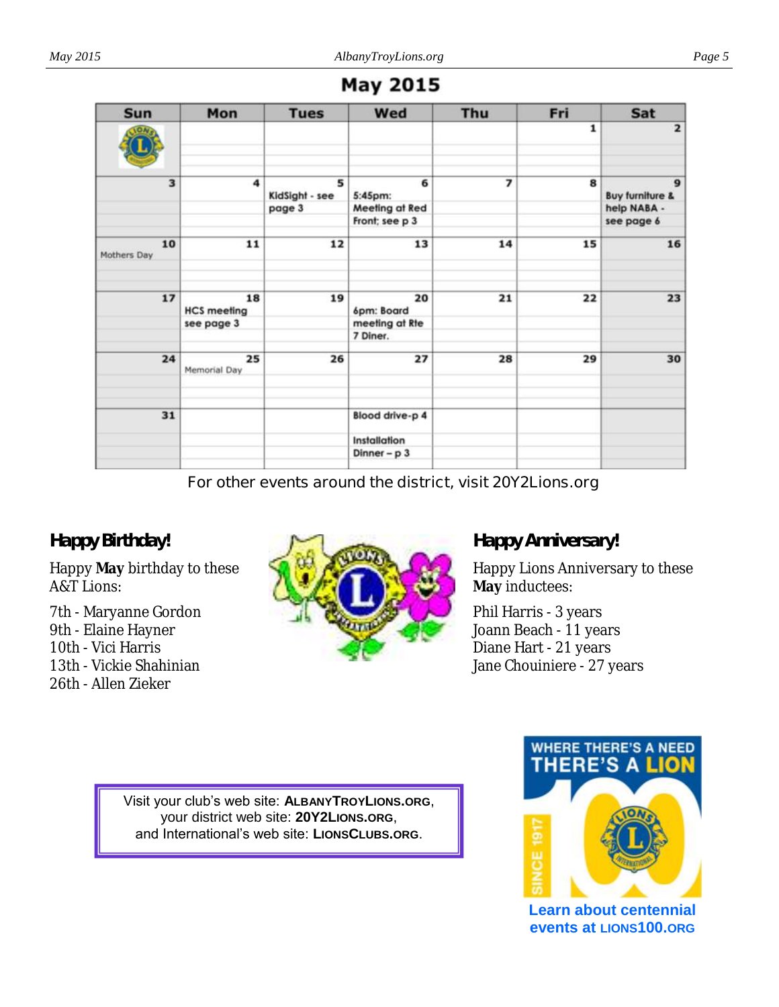| <b>Sun</b>        | Mon                      | <b>Tues</b>         | Wed              | Thu | Fri          | Sat                                        |
|-------------------|--------------------------|---------------------|------------------|-----|--------------|--------------------------------------------|
| <b>JON</b>        |                          |                     |                  |     | $\mathbf{1}$ | $\overline{2}$                             |
| 3                 | 4                        | 5<br>KidSight - see | 6<br>5:45pm:     | 7   | 8            | $\mathbf{9}$<br><b>Buy furniture &amp;</b> |
|                   |                          | page 3              | Meeting at Red   |     |              | help NABA -                                |
|                   |                          |                     | Front; see p 3   |     |              | see page 6                                 |
| 10<br>Mothers Day | 11                       | 12                  | 13               | 14  | 15           | 16                                         |
| 17                | 18<br><b>HCS</b> meeting | 19                  | 20<br>6pm: Board | 21  | 22           | 23                                         |
|                   | see page 3               |                     | meeting at Rte   |     |              |                                            |
|                   |                          |                     | 7 Diner.         |     |              |                                            |
| 24                | 25<br>Memorial Day       | 26                  | 27               | 28  | 29           | 30                                         |
| 31                |                          |                     | Blood drive-p 4  |     |              |                                            |
|                   |                          |                     | Installation     |     |              |                                            |
|                   |                          |                     | Dinner - $p3$    |     |              |                                            |

#### **May 2015**

**For other events around the district, visit 20Y2Lions.org**

#### *Happy Birthday!*

Happy **May** birthday to these A&T Lions:

7th - Maryanne Gordon 9th - Elaine Hayner 10th - Vici Harris 13th - Vickie Shahinian 26th - Allen Zieker



#### *Happy Anniversary!*

Happy Lions Anniversary to these **May** inductees:

Phil Harris - 3 years Joann Beach - 11 years Diane Hart - 21 years Jane Chouiniere - 27 years

Visit your club's web site: **ALBANYTROYLIONS.ORG**, your district web site: **20Y2LIONS.ORG**, and International's web site: **LIONSCLUBS.ORG**.



**Learn about centennial events at LIONS100.ORG**